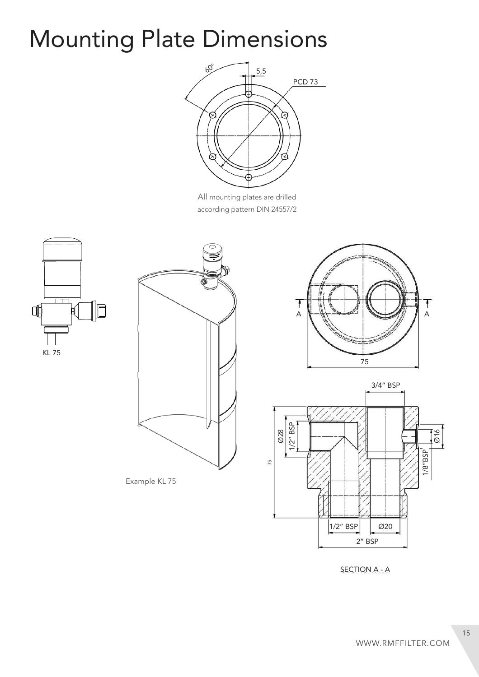## Mounting Plate Dimensions



All mounting plates are drilled according pattern DIN 24557/2





Example KL 75





SECTION A - A

15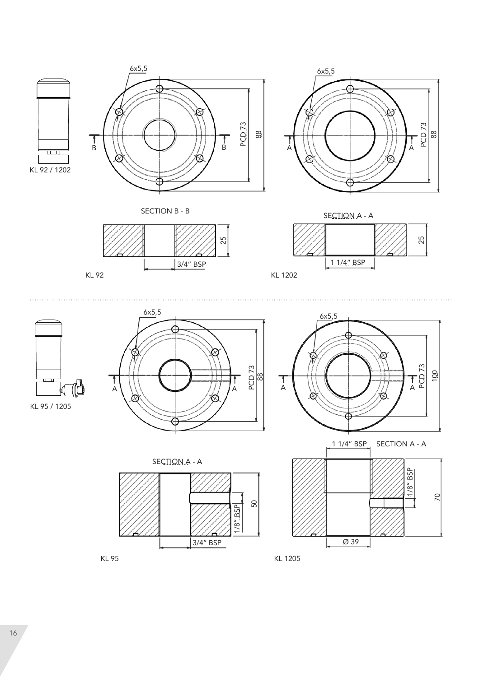



SECTION B - B SECTION A - A







 $\overline{\mathbf{u}}$ 









ದಿ



KL 95 KL 1205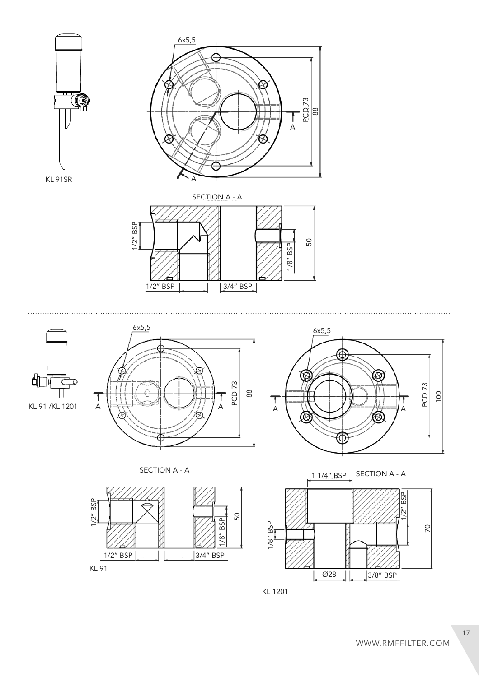



ĵ









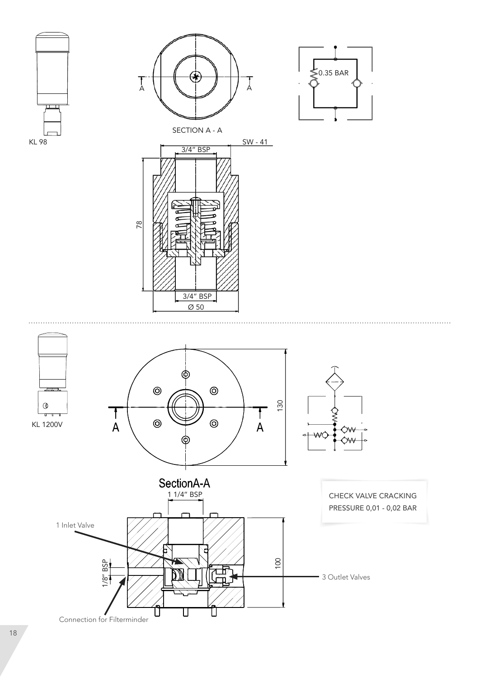